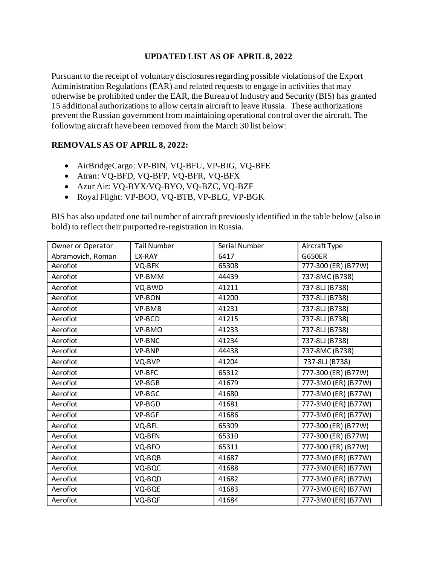## **UPDATED LIST AS OF APRIL 8, 2022**

Pursuant to the receipt of voluntary disclosures regarding possible violations of the Export Administration Regulations (EAR) and related requests to engage in activities that may otherwise be prohibited under the EAR, the Bureau of Industry and Security (BIS) has granted 15 additional authorizationsto allow certain aircraft to leave Russia. These authorizations prevent the Russian government from maintaining operational control over the aircraft. The following aircraft have been removed from the March 30 list below:

## **REMOVALS AS OF APRIL 8, 2022:**

- AirBridgeCargo: VP-BIN, VQ-BFU, VP-BIG, VQ-BFE
- Atran: VQ-BFD, VQ-BFP, VQ-BFR, VQ-BFX
- Azur Air: VQ-BYX/VQ-BYO, VQ-BZC, VQ-BZF
- Royal Flight: VP-BOO, VQ-BTB, VP-BLG, VP-BGK

BIS has also updated one tail number of aircraft previously identified in the table below (also in bold) to reflect their purported re-registration in Russia.

| Owner or Operator | <b>Tail Number</b> | <b>Serial Number</b> | Aircraft Type       |
|-------------------|--------------------|----------------------|---------------------|
| Abramovich, Roman | LX-RAY             | 6417                 | <b>G650ER</b>       |
| Aeroflot          | VQ-BFK             | 65308                | 777-300 (ER) (B77W) |
| Aeroflot          | VP-BMM             | 44439                | 737-8MC (B738)      |
| Aeroflot          | VQ-BWD             | 41211                | 737-8LJ (B738)      |
| Aeroflot          | <b>VP-BON</b>      | 41200                | 737-8LJ (B738)      |
| Aeroflot          | VP-BMB             | 41231                | 737-8LJ (B738)      |
| Aeroflot          | VP-BCD             | 41215                | 737-8LJ (B738)      |
| Aeroflot          | VP-BMO             | 41233                | 737-8LJ (B738)      |
| Aeroflot          | VP-BNC             | 41234                | 737-8LJ (B738)      |
| Aeroflot          | VP-BNP             | 44438                | 737-8MC (B738)      |
| Aeroflot          | VQ-BVP             | 41204                | 737-8LJ (B738)      |
| Aeroflot          | VP-BFC             | 65312                | 777-300 (ER) (B77W) |
| Aeroflot          | VP-BGB             | 41679                | 777-3M0 (ER) (B77W) |
| Aeroflot          | VP-BGC             | 41680                | 777-3M0 (ER) (B77W) |
| Aeroflot          | VP-BGD             | 41681                | 777-3M0 (ER) (B77W) |
| Aeroflot          | <b>VP-BGF</b>      | 41686                | 777-3M0 (ER) (B77W) |
| Aeroflot          | VQ-BFL             | 65309                | 777-300 (ER) (B77W) |
| Aeroflot          | VQ-BFN             | 65310                | 777-300 (ER) (B77W) |
| Aeroflot          | VQ-BFO             | 65311                | 777-300 (ER) (B77W) |
| Aeroflot          | VQ-BQB             | 41687                | 777-3M0 (ER) (B77W) |
| Aeroflot          | VQ-BQC             | 41688                | 777-3M0 (ER) (B77W) |
| Aeroflot          | VQ-BQD             | 41682                | 777-3M0 (ER) (B77W) |
| Aeroflot          | VQ-BQE             | 41683                | 777-3M0 (ER) (B77W) |
| Aeroflot          | VQ-BQF             | 41684                | 777-3M0 (ER) (B77W) |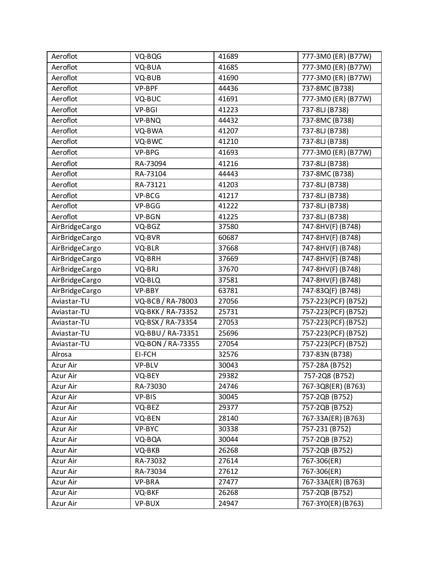| Aeroflot       | VQ-BQG            | 41689 | 777-3M0 (ER) (B77W)              |
|----------------|-------------------|-------|----------------------------------|
| Aeroflot       | VQ-BUA            | 41685 | 777-3M0 (ER) (B77W)              |
| Aeroflot       | VQ-BUB            | 41690 | 777-3M0 (ER) (B77W)              |
| Aeroflot       | VP-BPF            | 44436 | 737-8MC (B738)                   |
| Aeroflot       | VQ-BUC            | 41691 | 777-3M0 (ER) (B77W)              |
| Aeroflot       | VP-BGI            | 41223 | 737-8LJ (B738)                   |
| Aeroflot       | VP-BNQ            | 44432 | 737-8MC (B738)                   |
| Aeroflot       | VQ-BWA            | 41207 | 737-8LJ (B738)                   |
| Aeroflot       | VQ-BWC            | 41210 | 737-8LJ (B738)                   |
| Aeroflot       | VP-BPG            | 41693 | 777-3M0 (ER) (B77W)              |
| Aeroflot       | RA-73094          | 41216 | 737-8LJ (B738)                   |
| Aeroflot       | RA-73104          | 44443 | 737-8MC (B738)                   |
| Aeroflot       | RA-73121          | 41203 | 737-8LJ (B738)                   |
| Aeroflot       | VP-BCG            | 41217 | 737-8LJ (B738)                   |
| Aeroflot       | VP-BGG            | 41222 | 737-8LJ (B738)                   |
| Aeroflot       | VP-BGN            | 41225 | 737-8LJ (B738)                   |
| AirBridgeCargo | VQ-BGZ            | 37580 | 747-8HV(F) (B748)                |
| AirBridgeCargo | VQ-BVR            | 60687 | $747-8HV(F)$ (B748)              |
| AirBridgeCargo | VQ-BLR            | 37668 | 747-8HV(F) (B748)                |
| AirBridgeCargo | VQ-BRH            | 37669 | 747-8HV(F) (B748)                |
| AirBridgeCargo | VQ-BRJ            | 37670 | 747-8HV(F) (B748)                |
| AirBridgeCargo | VQ-BLQ            | 37581 | 747-8HV(F) (B748)                |
| AirBridgeCargo | VP-BBY            | 63781 | 747-83Q(F) (B748)                |
| Aviastar-TU    | VQ-BCB / RA-78003 | 27056 | 757-223(PCF) (B752)              |
| Aviastar-TU    | VQ-BKK / RA-73352 | 25731 | 757-223(PCF) (B752)              |
| Aviastar-TU    | VQ-BSX / RA-73354 | 27053 | 757-223(PCF) (B752)              |
| Aviastar-TU    | VQ-BBU / RA-73351 | 25696 | 757-223(PCF) (B752)              |
| Aviastar-TU    | VQ-BON / RA-73355 | 27054 | 757-223(PCF) (B752)              |
| Alrosa         | EI-FCH            | 32576 | 737-83N (B738)                   |
| Azur Air       | VP-BLV            | 30043 | 757-28A (B752)                   |
| Azur Air       | VQ-BEY            | 29382 | 757-2Q8 (B752)                   |
| Azur Air       | RA-73030          | 24746 | 767-3Q8(ER) (B763)               |
| Azur Air       | VP-BIS            | 30045 | 757-2QB (B752)                   |
| Azur Air       | VQ-BEZ            | 29377 | 757-2QB (B752)                   |
| Azur Air       | VQ-BEN            | 28140 | $\overline{767}$ -33A(ER) (B763) |
| Azur Air       | VP-BYC            | 30338 | 757-231 (B752)                   |
| Azur Air       | VQ-BQA            | 30044 | 757-2QB (B752)                   |
| Azur Air       | VQ-BKB            | 26268 | 757-2QB (B752)                   |
| Azur Air       | RA-73032          | 27614 | 767-306(ER)                      |
| Azur Air       | RA-73034          | 27612 | 767-306(ER)                      |
| Azur Air       | VP-BRA            | 27477 | 767-33A(ER) (B763)               |
| Azur Air       | VQ-BKF            | 26268 | 757-2QB (B752)                   |
| Azur Air       | VP-BUX            | 24947 | 767-3Y0(ER) (B763)               |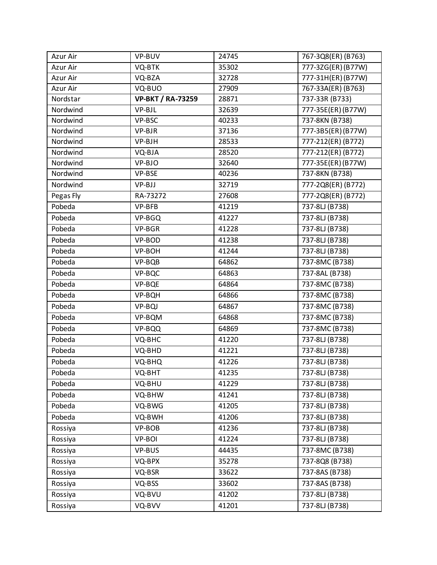| Azur Air  | VP-BUV                   | 24745 | 767-3Q8(ER) (B763)      |
|-----------|--------------------------|-------|-------------------------|
| Azur Air  | VQ-BTK                   | 35302 | 777-3ZG(ER)(B77W)       |
| Azur Air  | VQ-BZA                   | 32728 | 777-31H(ER)(B77W)       |
| Azur Air  | VQ-BUO                   | 27909 | 767-33A(ER) (B763)      |
| Nordstar  | <b>VP-BKT / RA-73259</b> | 28871 | 737-33R (B733)          |
| Nordwind  | VP-BJL                   | 32639 | 777-35E(ER) (B77W)      |
| Nordwind  | VP-BSC                   | 40233 | 737-8KN (B738)          |
| Nordwind  | VP-BJR                   | 37136 | 777-3B5(ER)(B77W)       |
| Nordwind  | VP-BJH                   | 28533 | 777-212(ER) (B772)      |
| Nordwind  | VQ-BJA                   | 28520 | $777 - 212$ (ER) (B772) |
| Nordwind  | VP-BJO                   | 32640 | 777-35E(ER)(B77W)       |
| Nordwind  | VP-BSE                   | 40236 | 737-8KN (B738)          |
| Nordwind  | VP-BJJ                   | 32719 | 777-2Q8(ER) (B772)      |
| Pegas Fly | RA-73272                 | 27608 | 777-2Q8(ER) (B772)      |
| Pobeda    | VP-BFB                   | 41219 | 737-8LJ (B738)          |
| Pobeda    | VP-BGQ                   | 41227 | 737-8LJ (B738)          |
| Pobeda    | VP-BGR                   | 41228 | $737-8LJ$ (B738)        |
| Pobeda    | VP-BOD                   | 41238 | 737-8LJ (B738)          |
| Pobeda    | VP-BOH                   | 41244 | 737-8LJ (B738)          |
| Pobeda    | VP-BQB                   | 64862 | 737-8MC (B738)          |
| Pobeda    | VP-BQC                   | 64863 | 737-8AL (B738)          |
| Pobeda    | VP-BQE                   | 64864 | 737-8MC (B738)          |
| Pobeda    | VP-BQH                   | 64866 | 737-8MC (B738)          |
| Pobeda    | VP-BQJ                   | 64867 | 737-8MC (B738)          |
| Pobeda    | VP-BQM                   | 64868 | 737-8MC (B738)          |
| Pobeda    | VP-BQQ                   | 64869 | 737-8MC (B738)          |
| Pobeda    | VQ-BHC                   | 41220 | 737-8LJ (B738)          |
| Pobeda    | VQ-BHD                   | 41221 | 737-8LJ (B738)          |
| Pobeda    | VQ-BHQ                   | 41226 | 737-8LJ (B738)          |
| Pobeda    | VQ-BHT                   | 41235 | 737-8LJ (B738)          |
| Pobeda    | VQ-BHU                   | 41229 | 737-8LJ (B738)          |
| Pobeda    | VQ-BHW                   | 41241 | 737-8LJ (B738)          |
| Pobeda    | VQ-BWG                   | 41205 | 737-8LJ (B738)          |
| Pobeda    | VQ-BWH                   | 41206 | 737-8LJ (B738)          |
| Rossiya   | VP-BOB                   | 41236 | 737-8LJ (B738)          |
| Rossiya   | VP-BOI                   | 41224 | 737-8LJ (B738)          |
| Rossiya   | VP-BUS                   | 44435 | 737-8MC (B738)          |
| Rossiya   | VQ-BPX                   | 35278 | 737-8Q8 (B738)          |
| Rossiya   | VQ-BSR                   | 33622 | 737-8AS (B738)          |
| Rossiya   | VQ-BSS                   | 33602 | 737-8AS (B738)          |
| Rossiya   | VQ-BVU                   | 41202 | 737-8LJ (B738)          |
| Rossiya   | VQ-BVV                   | 41201 | 737-8LJ (B738)          |